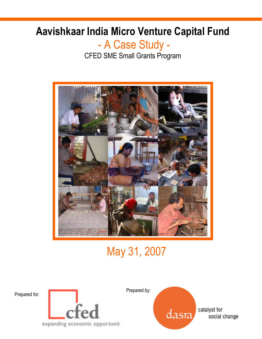# Aavishkaar India Micro Venture Capital Fund

## - A Case Study - CFED SME Small Grants Program



# May 31, 2007





Prepared by: dasra

catalyst for social change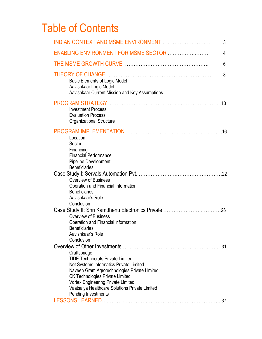# Table of Contents

|                                                                                                                                                                                                                                                                                                                    | 3          |
|--------------------------------------------------------------------------------------------------------------------------------------------------------------------------------------------------------------------------------------------------------------------------------------------------------------------|------------|
| ENABLING ENVIRONMENT FOR MSME SECTOR                                                                                                                                                                                                                                                                               | 4          |
|                                                                                                                                                                                                                                                                                                                    | 6          |
| <b>Basic Elements of Logic Model</b><br>Aavishkaar Logic Model<br>Aavishkaar Current Mission and Key Assumptions                                                                                                                                                                                                   | 8          |
| <b>Investment Process</b><br><b>Evaluation Process</b><br>Organizational Structure                                                                                                                                                                                                                                 |            |
| Location<br>Sector<br>Financing<br><b>Financial Performance</b><br><b>Pipeline Development</b><br><b>Beneficiaries</b>                                                                                                                                                                                             |            |
| <b>Overview of Business</b><br>Operation and Financial Information<br><b>Beneficiaries</b><br>Aavishkaar's Role<br>Conclusion                                                                                                                                                                                      |            |
| <b>Overview of Business</b><br>Operation and Financial information<br><b>Beneficiaries</b><br>Aavishkaar's Role<br>Conclusion                                                                                                                                                                                      |            |
| Craftsbridge<br><b>TIDE Technocrats Private Limited</b><br>Net Systems Informatics Private Limited<br>Naveen Gram Agrotechnologies Private Limited<br><b>CK Technologies Private Limited</b><br><b>Vortex Engineering Private Limited</b><br>Vaatsalya Healthcare Solutions Private Limited<br>Pending Investments | .31<br>.37 |
|                                                                                                                                                                                                                                                                                                                    |            |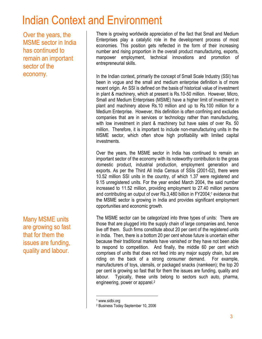# Indian Context and Environment

Over the years, the MSME sector in India has continued to remain an important sector of the economy.

Many MSME units are growing so fast that for them the issues are funding, quality and labour.

There is growing worldwide appreciation of the fact that Small and Medium Enterprises play a catalytic role in the development process of most economies. This position gets reflected in the form of their increasing number and rising proportion in the overall product manufacturing, exports, manpower employment, technical innovations and promotion of entrepreneurial skills.

In the Indian context, primarily the concept of Small Scale Industry (SSI) has been in vogue and the small and medium enterprise definition is of more recent origin. An SSI is defined on the basis of historical value of investment in plant & machinery, which at present is Rs.10-50 million. However, Micro, Small and Medium Enterprises (MSME) have a higher limit of investment in plant and machinery above Rs.10 million and up to Rs.100 million for a Medium Enterprise. However, this definition is often confining and excludes companies that are in services or technology rather than manufacturing, with low investment in plant & machinery but have sales of over Rs. 50 million. Therefore, it is important to include non-manufacturing units in the MSME sector, which often show high profitability with limited capital investments.

Over the years, the MSME sector in India has continued to remain an important sector of the economy with its noteworthy contribution to the gross domestic product, industrial production, employment generation and exports. As per the Third All India Census of SSIs (2001-02), there were 10.52 million SSI units in the country, of which 1.37 were registered and 9.15 unregistered units. For the year ended March 2004, the said number increased to 11.52 million, providing employment to 27.40 million persons and contributing an output of over Rs.3,480 billion in FY2004;<sup>1</sup> evidence that the MSME sector is growing in India and provides significant employment opportunities and economic growth.

The MSME sector can be categorized into three types of units: There are those that are plugged into the supply chain of large companies and, hence live off them. Such firms constitute about 20 per cent of the registered units in India. Then, there is a bottom 20 per cent whose future is uncertain either because their traditional markets have vanished or they have not been able to respond to competition. And finally, the middle 60 per cent which comprises of units that does not feed into any major supply chain, but are riding on the back of a strong consumer demand. For example, manufacturers of toys, utensils, or packaged snacks (namkeen); the top 20 per cent is growing so fast that for them the issues are funding, quality and labour. Typically, these units belong to sectors such auto, pharma, engineering, power or apparel.<sup>2</sup>

 $\overline{a}$ 

<sup>1</sup> www.sidbi.org

<sup>2</sup> Business Today September 10, 2006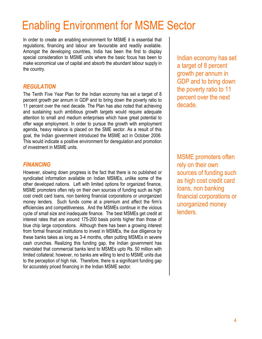# Enabling Environment for MSME Sector

In order to create an enabling environment for MSME it is essential that regulations, financing and labour are favourable and readily available. Amongst the developing countries, India has been the first to display special consideration to MSME units where the basic focus has been to make economical use of capital and absorb the abundant labour supply in the country.

#### **REGULATION**

The Tenth Five Year Plan for the Indian economy has set a target of 8 percent growth per annum in GDP and to bring down the poverty ratio to 11 percent over the next decade. The Plan has also noted that achieving and sustaining such ambitious growth targets would require adequate attention to small and medium enterprises which have great potential to offer wage employment. In order to pursue the growth with employment agenda, heavy reliance is placed on the SME sector. As a result of this goal, the Indian government introduced the MSME act in October 2006. This would indicate a positive environment for deregulation and promotion of investment in MSME units.

#### FINANCING

However, slowing down progress is the fact that there is no published or syndicated information available on Indian MSMEs, unlike some of the other developed nations. Left with limited options for organized finance, MSME promoters often rely on their own sources of funding such as high cost credit card loans, non banking financial corporations or unorganized money lenders. Such funds come at a premium and affect the firm's efficiencies and competitiveness. And the MSMEs continue in the vicious cycle of small size and inadequate finance. The best MSMEs get credit at interest rates that are around 175-200 basis points higher than those of blue chip large corporations. Although there has been a growing interest from formal financial institutions to invest in MSMEs, the due diligence by these banks takes as long as 3-4 months, often putting MSMEs in severe cash crunches. Realizing this funding gap, the Indian government has mandated that commercial banks lend to MSMEs upto Rs. 50 million with limited collateral; however, no banks are willing to lend to MSME units due to the perception of high risk. Therefore, there is a significant funding gap for accurately priced financing in the Indian MSME sector.

Indian economy has set a target of 8 percent growth per annum in GDP and to bring down the poverty ratio to 11 percent over the next decade.

MSME promoters often rely on their own sources of funding such as high cost credit card loans, non banking financial corporations or unorganized money lenders.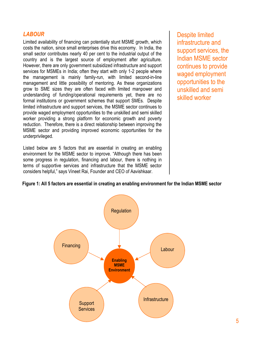#### **LABOUR**

Limited availability of financing can potentially stunt MSME growth, which costs the nation, since small enterprises drive this economy. In India, the small sector contributes nearly 40 per cent to the industrial output of the country and is the largest source of employment after agriculture. However, there are only government subsidized infrastructure and support services for MSMEs in India; often they start with only 1-2 people where the management is mainly family-run, with limited second-in-line management and little possibility of mentoring. As these organizations grow to SME sizes they are often faced with limited manpower and understanding of funding/operational requirements yet, there are no formal institutions or government schemes that support SMEs. Despite limited infrastructure and support services, the MSME sector continues to provide waged employment opportunities to the unskilled and semi skilled worker providing a strong platform for economic growth and poverty reduction. Therefore, there is a direct relationship between improving the MSME sector and providing improved economic opportunities for the underprivileged.

Listed below are 5 factors that are essential in creating an enabling environment for the MSME sector to improve. "Although there has been some progress in regulation, financing and labour, there is nothing in terms of supportive services and infrastructure that the MSME sector considers helpful," says Vineet Rai, Founder and CEO of Aavishkaar.

Despite limited infrastructure and support services, the Indian MSME sector continues to provide waged employment opportunities to the unskilled and semi skilled worker

#### Figure 1: All 5 factors are essential in creating an enabling environment for the Indian MSME sector

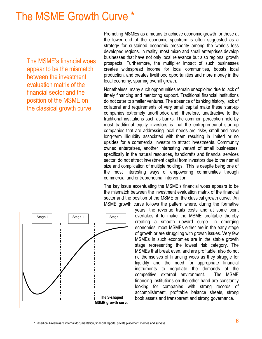# The MSME Growth Curve \*

The MSME's financial woes appear to be the mismatch between the investment evaluation matrix of the financial sector and the position of the MSME on the classical growth curve.

Promoting MSMEs as a means to achieve economic growth for those at the lower end of the economic spectrum is often suggested as a strategy for sustained economic prosperity among the world's less developed regions. In reality, most micro and small enterprises develop businesses that have not only local relevance but also regional growth prospects. Furthermore, the multiplier impact of such businesses creates widespread income for local communities, boosts local production, and creates livelihood opportunities and more money in the local economy, spurring overall growth.

Nonetheless, many such opportunities remain unexploited due to lack of timely financing and mentoring support. Traditional financial institutions do not cater to smaller ventures. The absence of banking history, lack of collateral and requirements of very small capital make these start-up companies extremely unorthodox and, therefore, unattractive to the traditional institutions such as banks. The common perception held by most traditional equity investors is that the entrepreneurial start-up companies that are addressing local needs are risky, small and have long-term illiquidity associated with them resulting in limited or no upsides for a commercial investor to attract investments. Community owned enterprises, another interesting variant of small businesses, specifically in the natural resources, handicrafts and financial services sector, do not attract investment capital from investors due to their small size and complication of multiple holdings. This is despite being one of the most interesting ways of empowering communities through commercial and entrepreneurial intervention.

The key issue accentuating the MSME's financial woes appears to be the mismatch between the investment evaluation matrix of the financial sector and the position of the MSME on the classical growth curve. An MSME growth curve follows the pattern where, during the formative

years, the revenue trails costs and at some point overtakes it to make the MSME profitable thereby creating a smooth upward surge. In emerging economies, most MSMEs either are in the early stage of growth or are struggling with growth issues. Very few MSMEs in such economies are in the stable growth stage representing the lowest risk category. The MSMEs that break even, and are profitable, also do not rid themselves of financing woes as they struggle for liquidity and the need for appropriate financial instruments to negotiate the demands of the competitive external environment. The MSME financing institutions on the other hand are constantly looking for companies with strong records of accomplishment, profitable balance sheets, strong book assets and transparent and strong governance.

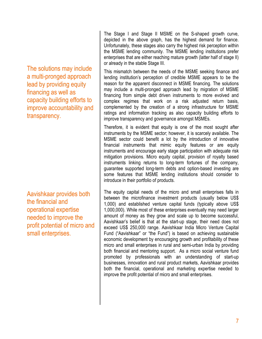The solutions may include a multi-pronged approach lead by providing equity financing as well as capacity building efforts to improve accountability and transparency.

Aavishkaar provides both the financial and operational expertise needed to improve the profit potential of micro and small enterprises.

The Stage I and Stage II MSME on the S-shaped growth curve, depicted in the above graph, has the highest demand for finance. Unfortunately, these stages also carry the highest risk perception within the MSME lending community. The MSME lending institutions prefer enterprises that are either reaching mature growth (latter half of stage II) or already in the stable Stage III.

This mismatch between the needs of the MSME seeking finance and lending institution's perception of credible MSME appears to be the reason for the apparent disconnect in MSME financing. The solutions may include a multi-pronged approach lead by migration of MSME financing from simple debt driven instruments to more evolved and complex regimes that work on a risk adjusted return basis, complemented by the creation of a strong infrastructure for MSME ratings and information tracking as also capacity building efforts to improve transparency and governance amongst MSMEs.

Therefore, it is evident that equity is one of the most sought after instruments by the MSME sector; however, it is scarcely available. The MSME sector could benefit a lot by the introduction of innovative financial instruments that mimic equity features or are equity instruments and encourage early stage participation with adequate risk mitigation provisions. Micro equity capital, provision of royalty based instruments linking returns to long-term fortunes of the company, guarantee supported long-term debts and option-based investing are some features that MSME lending institutions should consider to introduce in their portfolio of products.

The equity capital needs of the micro and small enterprises falls in between the microfinance investment products (usually below US\$ 1,000) and established venture capital funds (typically above US\$ 1,000,000). While most of these enterprises eventually may need larger amount of money as they grow and scale up to become successful, Aavishkaar's belief is that at the start-up stage, their need does not exceed US\$ 250,000 range. Aavishkaar India Micro Venture Capital Fund ("Aavishkaar" or "the Fund") is based on achieving sustainable economic development by encouraging growth and profitability of these micro and small enterprises in rural and semi-urban India by providing both financial and mentoring support. As a micro social venture fund promoted by professionals with an understanding of start-up businesses, innovation and rural product markets, Aavishkaar provides both the financial, operational and marketing expertise needed to improve the profit potential of micro and small enterprises.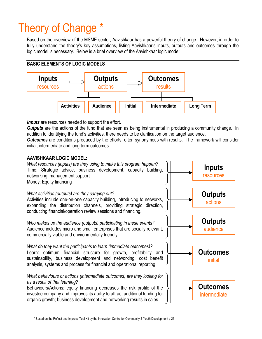# Theory of Change \*

Based on the overview of the MSME sector, Aavishkaar has a powerful theory of change. However, in order to fully understand the theory's key assumptions, listing Aavishkaar's inputs, outputs and outcomes through the logic model is necessary. Below is a brief overview of the Aavishkaar logic model:

#### BASIC ELEMENTS OF LOGIC MODELS



**Inputs** are resources needed to support the effort.

**Outputs** are the actions of the fund that are seen as being instrumental in producing a community change. In addition to identifying the fund's activities, there needs to be clarification on the target audience.

**Outcomes** are conditions produced by the efforts, often synonymous with results. The framework will consider initial, intermediate and long term outcomes.

#### AAVISHKAAR LOGIC MODEL:



\* Based on the Reflect and Improve Tool Kit by the Innovation Centre for Community & Youth Development p.26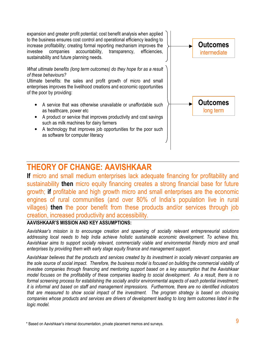expansion and greater profit potential; cost benefit analysis when applied to the business ensures cost control and operational efficiency leading to increase profitability; creating formal reporting mechanism improves the investee companies accountability, transparency, efficiencies, sustainability and future planning needs.

#### What ultimate benefits (long term outcomes) do they hope for as a result of these behaviours?

Ultimate benefits: the sales and profit growth of micro and small enterprises improves the livelihood creations and economic opportunities of the poor by providing:

- A service that was otherwise unavailable or unaffordable such as healthcare, power etc
- A product or service that improves productivity and cost savings such as milk machines for dairy farmers
- A technology that improves job opportunities for the poor such as software for computer literacy



### THEORY OF CHANGE: AAVISHKAAR

If micro and small medium enterprises lack adequate financing for profitability and sustainability then micro equity financing creates a strong financial base for future growth; if profitable and high growth micro and small enterprises are the economic engines of rural communities (and over 80% of India's population live in rural villages) then the poor benefit from these products and/or services through job creation, increased productivity and accessibility.

#### AAVISHKAAR'S MISSION AND KEY ASSUMPTIONS:

Aavishkaar's mission is to encourage creation and spawning of socially relevant entrepreneurial solutions addressing local needs to help India achieve holistic sustainable economic development. To achieve this, Aavishkaar aims to support socially relevant, commercially viable and environmental friendly micro and small enterprises by providing them with early stage equity finance and management support.

Aavishkaar believes that the products and services created by its investment in socially relevant companies are the sole source of social impact. Therefore, the business model is focused on building the commercial viability of investee companies through financing and mentoring support based on a key assumption that the Aavishkaar model focuses on the profitability of these companies leading to social development. As a result, there is no formal screening process for establishing the socially and/or environmental aspects of each potential investment; it is informal and based on staff and management impressions. Furthermore, there are no identified indicators that are measured to show social impact of the investment. The program strategy is based on choosing companies whose products and services are drivers of development leading to long term outcomes listed in the logic model.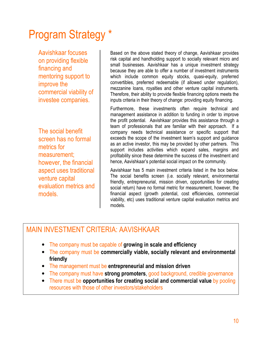# Program Strategy \*

Aavishkaar focuses on providing flexible financing and mentoring support to improve the commercial viability of investee companies.

The social benefit screen has no formal metrics for measurement; however, the financial aspect uses traditional venture capital evaluation metrics and models.

Based on the above stated theory of change, Aavishkaar provides risk capital and handholding support to socially relevant micro and small businesses. Aavishkaar has a unique investment strategy because they are able to offer a number of investment instruments which include common equity stocks, quasi-equity, preferred convertibles, preferred redeemable (if allowed under regulation), mezzanine loans, royalties and other venture capital instruments. Therefore, their ability to provide flexible financing options meets the inputs criteria in their theory of change: providing equity financing.

Furthermore, these investments often require technical and management assistance in addition to funding in order to improve the profit potential. Aavishkaar provides this assistance through a team of professionals that are familiar with their approach. If a company needs technical assistance or specific support that exceeds the scope of the investment team's support and guidance as an active investor, this may be provided by other partners. This support includes activities which expand sales, margins and profitability since these determine the success of the investment and hence, Aavishkaar's potential social impact on the community.

Aavishkaar has 5 main investment criteria listed in the box below. The social benefits screen (i.e. socially relevant, environmental friendly, entrepreneurial, mission driven, opportunities for creating social return) have no formal metric for measurement, however, the financial aspect (growth potential, cost efficiencies, commercial viability, etc) uses traditional venture capital evaluation metrics and models.

### MAIN INVESTMENT CRITERIA: AAVISHKAAR

- The company must be capable of growing in scale and efficiency
- The company must be commercially viable, socially relevant and environmental friendly
- The management must be entrepreneurial and mission driven
- The company must have strong promoters, good background, credible governance
- There must be opportunities for creating social and commercial value by pooling resources with those of other investors/stakeholders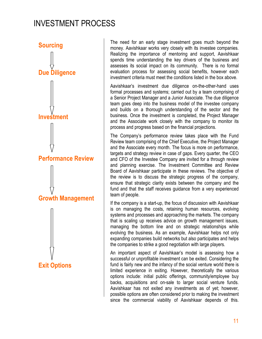## INVESTMENT PROCESS



The need for an early stage investment goes much beyond the money. Aavishkaar works very closely with its investee companies. Realizing the importance of mentoring and support, Aavishkaar spends time understanding the key drivers of the business and assesses its social impact on its community. There is no formal evaluation process for assessing social benefits, however each investment criteria must meet the conditions listed in the box above.

Aavishkaar's investment due diligence on-the-other-hand uses formal processes and systems; carried out by a team comprising of a Senior Project Manager and a Junior Associate. The due diligence team goes deep into the business model of the investee company and builds on a thorough understanding of the sector and the business. Once the investment is completed, the Project Manager and the Associate work closely with the company to monitor its process and progress based on the financial projections.

The Company's performance review takes place with the Fund Review team comprising of the Chief Executive, the Project Manager and the Associate every month. The focus is more on performance, targets and strategy review in case of gaps. Every quarter, the CEO and CFO of the Investee Company are invited for a through review and planning exercise. The Investment Committee and Review Board of Aavishkaar participate in these reviews. The objective of the review is to discuss the strategic progress of the company, ensure that strategic clarity exists between the company and the fund and that the staff receives guidance from a very experienced team of people.

If the company is a start-up, the focus of discussion with Aavishkaar is on managing the costs, retaining human resources, evolving systems and processes and approaching the markets. The company that is scaling up receives advice on growth management issues, managing the bottom line and on strategic relationships while evolving the business. As an example, Aavishkaar helps not only expanding companies build networks but also participates and helps the companies to strike a good negotiation with large players.

An important aspect of Aavishkaar's model is assessing how a successful or unprofitable investment can be exited. Considering the fund is fairly new and the infancy of the social venture world there is limited experience in exiting. However, theoretically the various options include: initial public offerings, community/employee buy backs, acquisitions and on-sale to larger social venture funds. Aavishkaar has not exited any investments as of yet; however, possible options are often considered prior to making the investment since the commercial viability of Aavishkaar depends of this.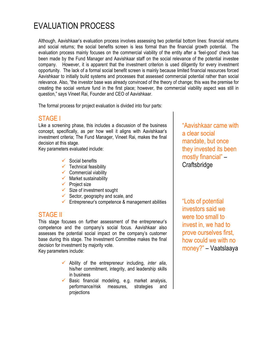# EVALUATION PROCESS

Although, Aavishkaar's evaluation process involves assessing two potential bottom lines: financial returns and social returns; the social benefits screen is less formal than the financial growth potential. The evaluation process mainly focuses on the commercial viability of the entity after a 'feel-good' check has been made by the Fund Manager and Aavishkaar staff on the social relevance of the potential investee company. However, it is apparent that the investment criterion is used diligently for every investment opportunity. The lack of a formal social benefit screen is mainly because limited financial resources forced Aavishkaar to initially build systems and processes that assessed commercial potential rather than social relevance. Also, "the investor base was already convinced of the theory of change; this was the premise for creating the social venture fund in the first place; however, the commercial viability aspect was still in question," says Vineet Rai, Founder and CEO of Aavishkaar.

The formal process for project evaluation is divided into four parts:

#### STAGE I

Like a screening phase, this includes a discussion of the business concept, specifically, as per how well it aligns with Aavishkaar's investment criteria; The Fund Manager, Vineet Rai, makes the final decision at this stage.

Key parameters evaluated include:

- $\checkmark$  Social benefits
- $\checkmark$  Technical feasibility
- $\checkmark$  Commercial viability
- $\checkmark$  Market sustainability
- $\checkmark$  Project size
- $\checkmark$  Size of investment sought
- $\checkmark$  Sector, geography and scale, and
- $\checkmark$  Entrepreneur's competence & management abilities

#### STAGE II

This stage focuses on further assessment of the entrepreneur's competence and the company's social focus. Aavishkaar also assesses the potential social impact on the company's customer base during this stage. The Investment Committee makes the final decision for investment by majority vote. Key parameters include:

- $\checkmark$  Ability of the entrepreneur including, *inter alia*, his/her commitment, integrity, and leadership skills in business
- $\checkmark$  Basic financial modeling, e.g. market analysis, performance/risk measures, strategies and projections

"Aavishkaar came with a clear social mandate, but once they invested its been mostly financial" – **Craftsbridge** 

"Lots of potential investors said we were too small to invest in, we had to prove ourselves first, how could we with no money?" – Vaatslaaya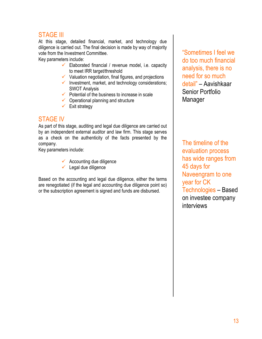#### STAGE III

At this stage, detailed financial, market, and technology due diligence is carried out. The final decision is made by way of majority vote from the Investment Committee.

Key parameters include:

- Elaborated financial / revenue model, i.e. capacity to meet IRR target/threshold
- $\checkmark$  Valuation negotiation, final figures, and projections
- $\checkmark$  Investment, market, and technology considerations; SWOT Analysis
- $\checkmark$  Potential of the business to increase in scale
- $\checkmark$  Operational planning and structure
- $\checkmark$  Exit strategy

#### STAGE IV

As part of this stage, auditing and legal due diligence are carried out by an independent external auditor and law firm. This stage serves as a check on the authenticity of the facts presented by the company.

Key parameters include:

- $\checkmark$  Accounting due diligence
- $\checkmark$  Legal due diligence

Based on the accounting and legal due diligence, either the terms are renegotiated (if the legal and accounting due diligence point so) or the subscription agreement is signed and funds are disbursed.

"Sometimes I feel we do too much financial analysis, there is no need for so much detail" – Aavishkaar Senior Portfolio Manager

The timeline of the evaluation process has wide ranges from 45 days for Naveengram to one year for CK Technologies – Based on investee company interviews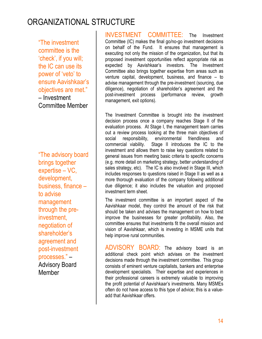## ORGANIZATIONAL STRUCTURE

"The investment committee is the 'check', if you will; the IC can use its power of 'veto' to ensure Aavishkaar's objectives are met." – Investment Committee Member

"The advisory board brings together expertise – VC, development, business, finance – to advise management through the preinvestment, negotiation of shareholder's agreement and post-investment processes." – Advisory Board **Member** 

INVESTMENT COMMITTEE: The Investment Committee (IC) makes the final go/no-go investment decisions on behalf of the Fund. It ensures that management is executing not only the mission of the organization, but that its proposed investment opportunities reflect appropriate risk as expected by Aavishkaar's investors. The Investment Committee also brings together expertise from areas such as venture capital, development, business, and finance – to advise management through the pre-investment (sourcing, due diligence), negotiation of shareholder's agreement and the post-investment process (performance review, growth management, exit options).

The Investment Committee is brought into the investment decision process once a company reaches Stage II of the evaluation process. At Stage I, the management team carries out a review process looking at the three main objectives of social responsibility, environmental friendliness and commercial viability. Stage II introduces the IC to the investment and allows them to raise key questions related to general issues from meeting basic criteria to specific concerns (e.g. more detail on marketing strategy, better understanding of sales strategy, etc). The IC is also involved in Stage III, which includes responses to questions raised in Stage II as well as a more thorough evaluation of the company following additional due diligence; it also includes the valuation and proposed investment term sheet.

The investment committee is an important aspect of the Aavishkaar model, they control the amount of the risk that should be taken and advises the management on how to best improve the businesses for greater profitability. Also, the committee ensures that investments fit the overall mission and vision of Aavishkaar, which is investing in MSME units that help improve rural communities.

ADVISORY BOARD: The advisory board is an additional check point which advises on the investment decisions made through the investment committee. This group consists of eminent venture capitalists, bankers and enterprise development specialists. Their expertise and experiences in their professional careers is extremely valuable to improving the profit potential of Aavishkaar's investments. Many MSMEs often do not have access to this type of advice; this is a valueadd that Aavishkaar offers.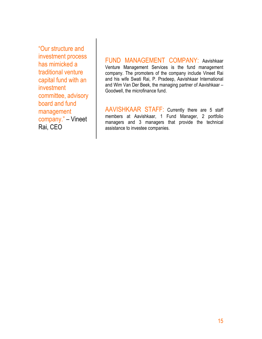"Our structure and investment process has mimicked a traditional venture capital fund with an investment committee, advisory board and fund management company." – Vineet Rai, CEO

FUND MANAGEMENT COMPANY: Aavishkaar Venture Management Services is the fund management company. The promoters of the company include Vineet Rai and his wife Swati Rai, P. Pradeep, Aavishkaar International and Wim Van Der Beek, the managing partner of Aavishkaar – Goodwell, the microfinance fund.

AAVISHKAAR STAFF: Currently there are 5 staff members at Aavishkaar, 1 Fund Manager, 2 portfolio managers and 3 managers that provide the technical assistance to investee companies.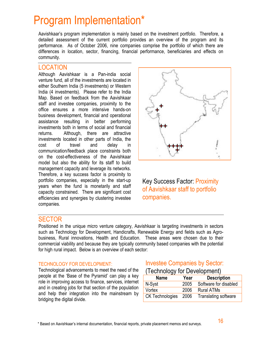# Program Implementation\*

Aavishkaar's program implementation is mainly based on the investment portfolio. Therefore, a detailed assessment of the current portfolio provides an overview of the program and its performance. As of October 2006, nine companies comprise the portfolio of which there are differences in location, sector, financing, financial performance, beneficiaries and effects on community.

#### LOCATION

Although Aavishkaar is a Pan-india social venture fund, all of the investments are located in either Southern India (5 investments) or Western India (4 investments). Please refer to the India Map. Based on feedback from the Aavishkaar staff and investee companies, proximity to the office ensures a more intensive hands-on business development, financial and operational assistance resulting in better performing investments both in terms of social and financial returns. Although, there are attractive investments located in other parts of India, the cost of travel and delay in communication/feedback place constraints both on the cost-effectiveness of the Aavishkaar model but also the ability for its staff to build management capacity and leverage its networks. Therefore, a key success factor is proximity to portfolio companies, especially in the start-up years when the fund is monetarily and staff capacity constrained. There are significant cost efficiencies and synergies by clustering investee companies.



Key Success Factor: Proximity of Aavishkaar staff to portfolio companies.

#### **SECTOR**

Positioned in the unique micro venture category, Aavishkaar is targeting investments in sectors such as Technology for Development, Handicrafts, Renewable Energy and fields such as Agrobusiness, Rural innovations, Health and Education. These areas were chosen due to their commercial viability and because they are typically community based companies with the potential for high rural impact. Below is an overview of each sector:

#### TECHNOLOGY FOR DEVELOPMENT:

Technological advancements to meet the need of the people at the 'Base of the Pyramid' can play a key role in improving access to finance, services, internet and in creating jobs for that section of the population and help their integration into the mainstream by bridging the digital divide.

#### Investee Companies by Sector:

| (Technology for Development) |  |
|------------------------------|--|
|------------------------------|--|

| <b>Name</b>            | Year | <b>Description</b>          |
|------------------------|------|-----------------------------|
| N-Syst                 | 2005 | Software for disabled       |
| Vortex                 | 2006 | <b>Rural ATMs</b>           |
| <b>CK Technologies</b> | 2006 | <b>Translating software</b> |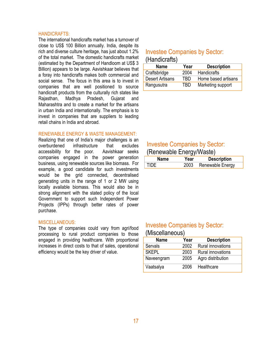#### HANDICRAFTS:

The international handicrafts market has a turnover of close to US\$ 100 Billion annually. India, despite its rich and diverse culture heritage, has just about 1.2% of the total market. The domestic handicrafts market (estimated by the Department of Handloom at US\$ 3 Billion) appears to be large. Aavishkaar believes that a foray into handicrafts makes both commercial and social sense. The focus in this area is to invest in companies that are well positioned to source handicraft products from the culturally rich states like Rajasthan, Madhya Pradesh, Gujarat and Maharashtra and to create a market for the artisans in urban India and internationally. The emphasis is to invest in companies that are suppliers to leading retail chains in India and abroad.

#### RENEWABLE ENERGY & WASTE MANAGEMENT:

Realizing that one of India's major challenges is an overburdened infrastructure that excludes accessibility for the poor. Aavishkaar seeks companies engaged in the power generation business, using renewable sources like biomass. For example, a good candidate for such investments would be the grid connected, decentralised generating units in the range of 1 or 2 MW using locally available biomass. This would also be in strong alignment with the stated policy of the local Government to support such Independent Power Projects (IPPs) through better rates of power purchase.

#### MISCELLANEOUS:

The type of companies could vary from agri/food processing to rural product companies to those engaged in providing healthcare. With proportional increases in direct costs to that of sales, operational efficiency would be the key driver of value.

#### Investee Companies by Sector: (Handicrafts)

| <b>Name</b>            | Year | <b>Description</b>  |
|------------------------|------|---------------------|
| Craftsbridge           | 2004 | <b>Handicrafts</b>  |
| <b>Desert Artisans</b> | TRD  | Home based artisans |
| Rangusutra             | TBD  | Marketing support   |

### Investee Companies by Sector:

#### (Renewable Energy/Waste)

| Name | rear | <b>Description</b> |
|------|------|--------------------|
|      |      | Renewable Energy   |

#### Investee Companies by Sector:

#### (Miscellaneous)

| <b>Name</b>  | Year | <b>Description</b>       |
|--------------|------|--------------------------|
| Servals      | 2002 | <b>Rural innovations</b> |
| <b>SKEPL</b> | 2003 | <b>Rural innovations</b> |
| Naveengram   | 2005 | Agro distribution        |
| Vaatsalya    | 2006 | Healthcare               |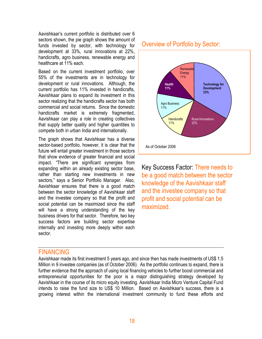Aavishkaar's current portfolio is distributed over 6 sectors shown, the pie graph shows the amount of funds invested by sector, with technology for development at 33%, rural innovations at 22%, handicrafts, agro business, renewable energy and healthcare at 11% each

Based on the current investment portfolio, over 55% of the investments are in technology for development or rural innovations. Although, the current portfolio has 11% invested in handicrafts, Aavishkaar plans to expand its investment in this sector realizing that the handicrafts sector has both commercial and social returns. Since the domestic handicrafts market is extremely fragmented, Aavishkaar can play a role in creating collectives that supply better quality and higher quantities to compete both in urban India and internationally.

The graph shows that Aavishkaar has a diverse sector-based portfolio, however, it is clear that the future will entail greater investment in those sectors that show evidence of greater financial and social impact. "There are significant synergies from expanding within an already existing sector base, rather than starting new investments in new sectors," says a Senior Portfolio Manager. Also, Aavishkaar ensures that there is a good match between the sector knowledge of Aavishkaar staff and the investee company so that the profit and social potential can be maximized since the staff will have a strong understanding of the key business drivers for that sector. Therefore, two key success factors are building sector expertise internally and investing more deeply within each sector.

# Overview of Portfolio by Sector:



Key Success Factor: There needs to be a good match between the sector knowledge of the Aavishkaar staff and the investee company so that profit and social potential can be maximized.

#### FINANCING

Aavishkaar made its first investment 5 years ago, and since then has made investments of US\$ 1.5 Million in 9 investee companies (as of October 2006). As the portfolio continues to expand, there is further evidence that the approach of using local financing vehicles to further boost commercial and entrepreneurial opportunities for the poor is a major distinguishing strategy developed by Aavishkaar in the course of its micro equity investing. Aavishkaar India Micro Venture Capital Fund intends to raise the fund size to US\$ 10 Million. Based on Aavishkaar's success, there is a growing interest within the international investment community to fund these efforts and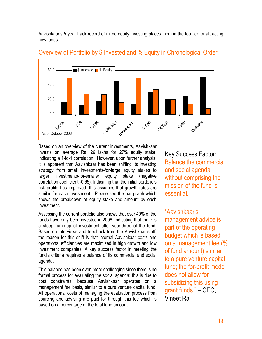Aavishkaar's 5 year track record of micro equity investing places them in the top tier for attracting new funds.



#### Overview of Portfolio by \$ Invested and % Equity in Chronological Order:

Based on an overview of the current investments, Aavishkaar invests on average Rs. 26 lakhs for 27% equity stake, indicating a 1-to-1 correlation. However, upon further analysis, it is apparent that Aavishkaar has been shifting its investing strategy from small investments-for-large equity stakes to larger investments-for-smaller equity stake (negative correlation coefficient -0.65). Indicating that the initial portfolio's risk profile has improved; this assumes that growth rates are similar for each investment. Please see the bar graph which shows the breakdown of equity stake and amount by each investment.

Assessing the current portfolio also shows that over 40% of the funds have only been invested in 2006; indicating that there is a steep ramp-up of investment after year-three of the fund. Based on interviews and feedback from the Aavishkaar staff, the reason for this shift is that internal Aavishkaar costs and operational efficiencies are maximized in high growth and low investment companies. A key success factor in meeting the fund's criteria requires a balance of its commercial and social agenda.

This balance has been even more challenging since there is no formal process for evaluating the social agenda; this is due to cost constraints, because Aavishkaar operates on a management fee basis, similar to a pure venture capital fund. All operational costs of managing the evaluation process from sourcing and advising are paid for through this fee which is based on a percentage of the total fund amount.

Key Success Factor: Balance the commercial and social agenda without comprising the mission of the fund is essential.

"Aavishkaar's management advice is part of the operating budget which is based on a management fee (% of fund amount) similar to a pure venture capital fund; the for-profit model does not allow for subsidizing this using grant funds." – CEO, Vineet Rai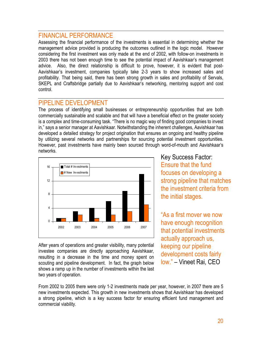#### FINANCIAL PERFORMANCE

Assessing the financial performance of the investments is essential in determining whether the management advice provided is producing the outcomes outlined in the logic model. However considering the first investment was only made at the end of 2002, with follow-on investments in 2003 there has not been enough time to see the potential impact of Aavishkaar's management advice. Also, the direct relationship is difficult to prove, however, it is evident that post-Aavishkaar's investment, companies typically take 2-3 years to show increased sales and profitability. That being said, there has been strong growth in sales and profitability of Servals, SKEPL and Craftsbridge partially due to Aavishkaar's networking, mentoring support and cost control.

#### PIPELINE DEVELOPMENT

The process of identifying small businesses or entrepreneurship opportunities that are both commercially sustainable and scalable and that will have a beneficial effect on the greater society is a complex and time-consuming task. "There is no magic way of finding good companies to invest in," says a senior manager at Aavishkaar. Notwithstanding the inherent challenges, Aavishkaar has developed a detailed strategy for project origination that ensures an ongoing and healthy pipeline by utilizing several networks and partnerships for sourcing potential investment opportunities. However, past investments have mainly been sourced through word-of-mouth and Aavishkaar's networks.



After years of operations and greater visibility, many potential investee companies are directly approaching Aavishkaar, resulting in a decrease in the time and money spent on scouting and pipeline development. In fact, the graph below shows a ramp up in the number of investments within the last two years of operation.

Key Success Factor: Ensure that the fund focuses on developing a strong pipeline that matches the investment criteria from the initial stages.

"As a first mover we now have enough recognition that potential investments actually approach us, keeping our pipeline development costs fairly low." – Vineet Rai, CEO

From 2002 to 2005 there were only 1-2 investments made per year, however, in 2007 there are 5 new investments expected. This growth in new investments shows that Aavishkaar has developed a strong pipeline, which is a key success factor for ensuring efficient fund management and commercial viability.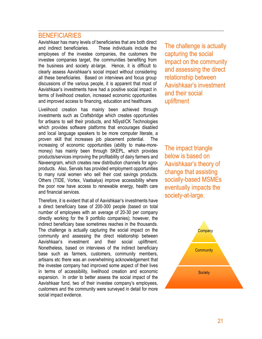#### **BENEFICIARIES**

Aavishkaar has many levels of beneficiaries that are both direct and indirect beneficiaries. These individuals include the employees of the investee companies, the customers the investee companies target, the communities benefiting from the business and society at-large. Hence, it is difficult to clearly assess Aavishkaar's social impact without considering all these beneficiaries. Based on interviews and focus group discussions of the various people, it is apparent that most of Aavishkaar's investments have had a positive social impact in terms of livelihood creation, increased economic opportunities and improved access to financing, education and healthcare.

Livelihood creation has mainly been achieved through investments such as Craftsbridge which creates opportunities for artisans to sell their products, and NSyst/CK Technologies which provides software platforms that encourages disabled and local language speakers to be more computer literate, a proven skill that increases job placement potential. The increasing of economic opportunities (ability to make-moremoney) has mainly been through SKEPL, which provides products/services improving the profitability of dairy farmers and Naveengram, which creates new distribution channels for agroproducts. Also, Servals has provided employment opportunities to many rural women who sell their cost savings products. Others (TIDE, Vortex, Vaatsalya) improve accessibility where the poor now have access to renewable energy, health care and financial services.

Therefore, it is evident that all of Aavishkaar's investments have a direct beneficiary base of 200-300 people (based on total number of employees with an average of 20-30 per company directly working for the 9 portfolio companies); however, the indirect beneficiary base sometimes reaches in the thousands. The challenge is actually capturing the social impact on the community and assessing the direct relationship between Aavishkaar's investment and their social upliftment. Nonetheless, based on interviews of the indirect beneficiary base such as farmers, customers, community members, artisans etc there was an overwhelming acknowledgement that the investee company had improved some aspect of their lives in terms of accessibility, livelihood creation and economic expansion. In order to better assess the social impact of the Aavishkaar fund, two of their investee company's employees, customers and the community were surveyed in detail for more social impact evidence.

The challenge is actually capturing the social impact on the community and assessing the direct relationship between Aavishkaar's investment and their social upliftment

The impact triangle below is based on Aavishkaar's theory of change that assisting socially-based MSMEs eventually impacts the society-at-large.

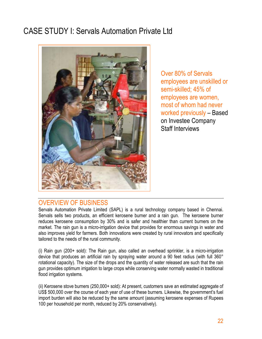## CASE STUDY I: Servals Automation Private Ltd



Over 80% of Servals employees are unskilled or semi-skilled; 45% of employees are women, most of whom had never worked previously – Based on Investee Company Staff Interviews

#### OVERVIEW OF BUSINESS

Servals Automation Private Limited (SAPL) is a rural technology company based in Chennai. Servals sells two products, an efficient kerosene burner and a rain gun. The kerosene burner reduces kerosene consumption by 30% and is safer and healthier than current burners on the market. The rain gun is a micro-irrigation device that provides for enormous savings in water and also improves yield for farmers. Both innovations were created by rural innovators and specifically tailored to the needs of the rural community.

(i) Rain gun (200+ sold): The Rain gun, also called an overhead sprinkler, is a micro-irrigation device that produces an artificial rain by spraying water around a 90 feet radius (with full 360° rotational capacity). The size of the drops and the quantity of water released are such that the rain gun provides optimum irrigation to large crops while conserving water normally wasted in traditional flood irrigation systems.

(ii) Kerosene stove burners (250,000+ sold): At present, customers save an estimated aggregate of US\$ 500,000 over the course of each year of use of these burners. Likewise, the government's fuel import burden will also be reduced by the same amount (assuming kerosene expenses of Rupees 100 per household per month, reduced by 20% conservatively).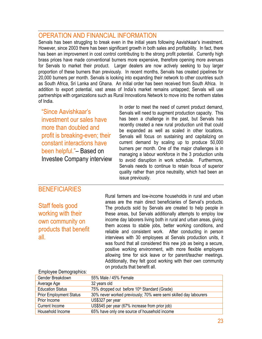#### OPERATION AND FINANCIAL INFORMATION

Servals has been struggling to break even in the initial years following Aavishkaar's investment. However, since 2003 there has been significant growth in both sales and profitability. In fact, there has been an improvement in cost control contributing to the strong profit potential. Currently high brass prices have made conventional burners more expensive, therefore opening more avenues for Servals to market their product. Larger dealers are now actively seeking to buy larger proportion of these burners than previously. In recent months, Servals has created pipelines for 20,000 burners per month. Servals is looking into expanding their network to other countries such as South Africa, Sri Lanka and Ghana. An initial order has been received from South Africa. In addition to export potential, vast areas of India's market remains untapped; Servals will use partnerships with organizations such as Rural Innovations Network to move into the northern states of India.

"Since Aavishkaar's investment our sales have more than doubled and profit is breaking-even; their constant interactions have been helpful."– Based on Investee Company interview

In order to meet the need of current product demand, Servals will need to augment production capacity. This has been a challenge in the past, but Servals has recently created a new rural production unit that could be expanded as well as scaled in other locations. Servals will focus on sustaining and capitalizing on current demand by scaling up to produce 50,000 burners per month. One of the major challenges is in managing a labour workforce in the 3 production units to avoid disruption in work schedule. Furthermore, Servals needs to continue to retain focus of superior quality rather than price neutrality, which had been an issue previously.

#### **BENEFICIARIES**

Staff feels good working with their own community on products that benefit all.

Rural farmers and low-income households in rural and urban areas are the main direct beneficiaries of Serval's products. The products sold by Servals are created to help people in these areas, but Servals additionally attempts to employ low income day laborers living both in rural and urban areas, giving them access to stable jobs, better working conditions, and reliable and consistent work. After conducting in person interviews with 30 employees at Servals production units, it was found that all considered this new job as being a secure, positive working environment, with more flexible employers allowing time for sick leave or for parent/teacher meetings. Additionally, they felt good working with their own community on products that benefit all.

#### Employee Demographics:

| Gender Breakdown               | 55% Male / 45% Female                                            |
|--------------------------------|------------------------------------------------------------------|
| Average Age                    | 32 years old                                                     |
| <b>Education Status</b>        | 75% dropped out before 10 <sup>th</sup> Standard (Grade)         |
| <b>Prior Employment Status</b> | 30% never worked previously; 70% were semi skilled day labourers |
| Prior Income                   | US\$327 per year                                                 |
| <b>Current Income</b>          | US\$545 per year (67% increase from prior job)                   |
| Household Income               | 65% have only one source of household income                     |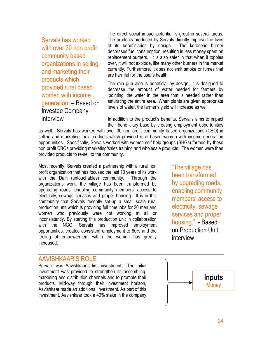Servals has worked with over 30 non profit community based organizations in selling and marketing their products which provided rural based women with income generation. – Based on Investee Company interview

The direct social impact potential is great in several areas. The products produced by Servals directly improve the lives of its beneficiaries by design. The kerosene burner decreases fuel consumption, resulting in less money spent on replacement burners. It is also safer in that when it topples over, it will not explode, like many other burners in the market currently. Furthermore, it does not emit smoke or fumes that are harmful for the user's health.

The rain gun also is beneficial by design. It is designed to decrease the amount of water needed for farmers by 'pointing' the water in the area that is needed rather than saturating the entire area. When plants are given appropriate levels of water, the farmer's yield will increase as well.

In addition to the product's benefits, Serval's aims to impact their beneficiary base by creating employment opportunities

as well. Servals has worked with over 30 non profit community based organizations (CBO) in selling and marketing their products which provided rural based women with income generation opportunities. Specifically, Servals worked with women self help groups (SHGs) formed by these non profit CBOs providing marketing/sales training and wholesale products. The women were then provided products to re-sell to the community.

Most recently, Servals created a partnership with a rural non profit organization that has focused the last 10 years of its work with the Dalit (untouchables) community. Through the organizations work, the village has been transformed by upgrading roads, enabling community members' access to electricity, sewage services and proper housing. It is in this community that Servals recently set-up a small scale rural production unit which is providing full time jobs for 20 men and women who previously were not working at all or inconsistently. By starting this production unit in collaboration with the NGO, Servals has improved employment opportunities, created consistent employment to 80% and the feeling of empowerment within the women has greatly increased.

"The village has been transformed by upgrading roads, enabling community members' access to electricity, sewage services and proper housing." - Based on Production Unit interview

#### AAVISHKAAR'S ROLE

Serval's was Aavishkaar's first investment. The initial investment was provided to strengthen its assembling, marketing and distribution channels and to promote their products. Mid-way through their investment horizon, Aavishkaar made an additional investment. As part of this investment, Aavishkaar took a 49% stake in the company

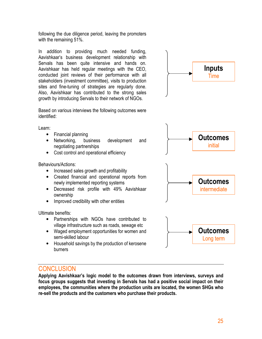following the due diligence period, leaving the promoters with the remaining 51%.

In addition to providing much needed funding, Aavishkaar's business development relationship with Servals has been quite intensive and hands on. Aavishkaar has held regular meetings with the CEO, conducted joint reviews of their performance with all stakeholders (investment committee), visits to production sites and fine-tuning of strategies are regularly done. Also, Aavishkaar has contributed to the strong sales growth by introducing Servals to their network of NGOs.

Based on various interviews the following outcomes were identified:

Learn:

- Financial planning
- Networking, business development and negotiating partnerships
- Cost control and operational efficiency

Behaviours/Actions:

- Increased sales growth and profitability
- Created financial and operational reports from newly implemented reporting systems
- Decreased risk profile with 49% Aavishkaar ownership
- Improved credibility with other entities

Ultimate benefits:

- Partnerships with NGOs have contributed to village infrastructure such as roads, sewage etc
- Waged employment opportunities for women and semi-skilled labour
- Household savings by the production of kerosene burners



#### **CONCLUSION**

Applying Aavishkaar's logic model to the outcomes drawn from interviews, surveys and focus groups suggests that investing in Servals has had a positive social impact on their employees, the communities where the production units are located, the women SHGs who re-sell the products and the customers who purchase their products.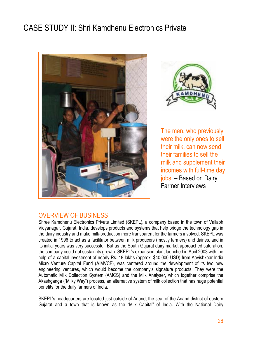# CASE STUDY II: Shri Kamdhenu Electronics Private





The men, who previously were the only ones to sell their milk, can now send their families to sell the milk and supplement their incomes with full-time day jobs. – Based on Dairy Farmer Interviews

#### OVERVIEW OF BUSINESS

Shree Kamdhenu Electronics Private Limited (SKEPL), a company based in the town of Vallabh Vidyanagar, Gujarat, India, develops products and systems that help bridge the technology gap in the dairy industry and make milk-production more transparent for the farmers involved. SKEPL was created in 1996 to act as a facilitator between milk producers (mostly farmers) and dairies, and in its initial years was very successful. But as the South Gujarat dairy market approached saturation, the company could not sustain its growth. SKEPL's expansion plan, launched in April 2003 with the help of a capital investment of nearly Rs. 18 lakhs (approx. \$40,000 USD) from Aavishkaar India Micro Venture Capital Fund (AIMVCF), was centered around the development of its two new engineering ventures, which would become the company's signature products. They were the Automatic Milk Collection System (AMCS) and the Milk Analyser, which together comprise the Akashganga ("Milky Way") process, an alternative system of milk collection that has huge potential benefits for the daily farmers of India.

SKEPL's headquarters are located just outside of Anand, the seat of the Anand district of eastern Gujarat and a town that is known as the "Milk Capital" of India. With the National Dairy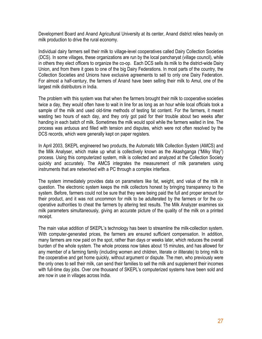Development Board and Anand Agricultural University at its center, Anand district relies heavily on milk production to drive the rural economy.

Individual dairy farmers sell their milk to village-level cooperatives called Dairy Collection Societies (DCS). In some villages, these organizations are run by the local pancharyat (village council), while in others they elect officers to organize the co-op. Each DCS sells its milk to the district-wide Dairy Union, and from there it goes to one of the big Dairy Federations. In most parts of the country, the Collection Societies and Unions have exclusive agreements to sell to only one Dairy Federation. For almost a half-century, the farmers of Anand have been selling their milk to Amul, one of the largest milk distributors in India.

The problem with this system was that when the farmers brought their milk to cooperative societies twice a day, they would often have to wait in line for as long as an hour while local officials took a sample of the milk and used old-time methods of testing fat content. For the farmers, it meant wasting two hours of each day, and they only got paid for their trouble about two weeks after handing in each batch of milk. Sometimes the milk would spoil while the farmers waited in line. The process was arduous and filled with tension and disputes, which were not often resolved by the DCS records, which were generally kept on paper registers.

In April 2003, SKEPL engineered two products, the Automatic Milk Collection System (AMCS) and the Milk Analyser, which make up what is collectively known as the Akashganga ("Milky Way") process. Using this computerized system, milk is collected and analyzed at the Collection Society quickly and accurately. The AMCS integrates the measurement of milk parameters using instruments that are networked with a PC through a complex interface.

The system immediately provides data on parameters like fat, weight, and value of the milk in question. The electronic system keeps the milk collectors honest by bringing transparency to the system. Before, farmers could not be sure that they were being paid the full and proper amount for their product, and it was not uncommon for milk to be adulterated by the farmers or for the cooperative authorities to cheat the farmers by altering test results. The Milk Analyzer examines six milk parameters simultaneously, giving an accurate picture of the quality of the milk on a printed receipt.

The main value addition of SKEPL's technology has been to streamline the milk-collection system. With computer-generated prices, the farmers are ensured sufficient compensation. In addition, many farmers are now paid on the spot, rather than days or weeks later, which reduces the overall burden of the whole system. The whole process now takes about 15 minutes, and has allowed for any member of a farming family (including women and children, literate or illiterate) to bring milk to the cooperative and get home quickly, without argument or dispute. The men, who previously were the only ones to sell their milk, can send their families to sell the milk and supplement their incomes with full-time day jobs. Over one thousand of SKEPL's computerized systems have been sold and are now in use in villages across India.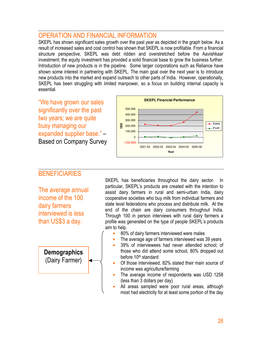#### OPERATION AND FINANCIAL INFORMATION

SKEPL has shown significant sales growth over the past year as depicted in the graph below. As a result of increased sales and cost control has shown that SKEPL is now profitable. From a financial structure perspective, SKEPL was debt ridden and overstretched before the Aavishkaar investment; the equity investment has provided a solid financial base to grow the business further. Introduction of new products is in the pipeline. Some larger corporations such as Reliance have shown some interest in partnering with SKEPL. The main goal over the next year is to introduce new products into the market and expand outreach to other parts of India. However, operationally, SKEPL has been struggling with limited manpower, so a focus on building internal capacity is essential.

"We have grown our sales significantly over the past two years; we are quite busy managing our expanded supplier base." – Based on Company Survey



#### **BENEFICIARIES**

The average annual income of the 100 dairy farmers interviewed is less than US\$3 a day.

**Demographics** (Dairy Farmer)

SKEPL has beneficiaries throughout the dairy sector. In particular, SKEPL's products are created with the intention to assist dairy farmers in rural and semi-urban India, dairy cooperative societies who buy milk from individual farmers and state level federations who process and distribute milk. At the end of the chain are dairy consumers throughout India. Through 100 in person interviews with rural dairy farmers a profile was generated on the type of people SKEPL's products aim to help.

- 80% of dairy farmers interviewed were males
- The average age of farmers interviewed was 39 years
- 39% of interviewees had never attended school; of those who did attend some school, 80% dropped out before 10<sup>th</sup> standard
- Of those interviewed, 82% stated their main source of income was agriculture/farming
- The average income of respondents was USD 1258 (less than 3 dollars per day)
- All areas sampled were poor rural areas, although most had electricity for at least some portion of the day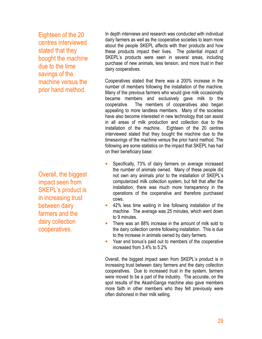Eighteen of the 20 centres interviewed stated that they bought the machine due to the time savings of the machine versus the prior hand method.

Overall, the biggest impact seen from SKEPL's product is in increasing trust between dairy farmers and the dairy collection cooperatives.

In depth interviews and research was conducted with individual dairy farmers as well as the cooperative societies to learn more about the people SKEPL affects with their products and how these products impact their lives. The potential impact of SKEPL's products were seen in several areas, including purchase of new animals, less tension, and more trust in their dairy cooperatives.

Cooperatives stated that there was a 200% increase in the number of members following the installation of the machine. Many of the previous farmers who would give milk occasionally became members and exclusively gave milk to the cooperative. The members of cooperatives also began appealing to more landless members. Many of the societies have also become interested in new technology that can assist in all areas of milk production and collection due to the installation of the machine. Eighteen of the 20 centres interviewed stated that they bought the machine due to the timesavings of the machine versus the prior hand method. The following are some statistics on the impact that SKEPL has had on their beneficiary base:

- Specifically, 73% of dairy farmers on average increased the number of animals owned. Many of these people did not own any animals prior to the installation of SKEPL's computerized milk collection system, but felt that after the installation, there was much more transparency in the operations of the cooperative and therefore purchased cows.
- 42% less time waiting in line following installation of the machine. The average was 25 minutes, which went down to 9 minutes.
- There was an 88% increase in the amount of milk sold to the dairy collection centre following installation. This is due to the increase in animals owned by dairy farmers.
- Year end bonus's paid out to members of the cooperative increased from 3.4% to 5.2%

Overall, the biggest impact seen from SKEPL's product is in increasing trust between dairy farmers and the dairy collection cooperatives. Due to increased trust in the system, farmers were moved to be a part of the industry. The accurate, on the spot results of the AkashGanga machine also gave members more faith in other members who they felt previously were often dishonest in their milk selling.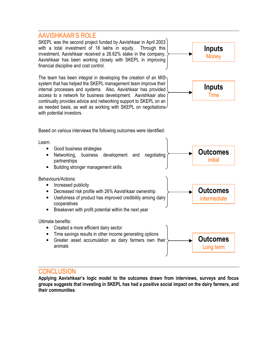#### AAVISHKAAR'S ROLE

SKEPL was the second project funded by Aavishkaar in April 2003 with a total investment of 18 lakhs in equity. Through this investment, Aavishkaar received a 26.62% stake in the company. Aavishkaar has been working closely with SKEPL in improving financial discipline and cost control.

The team has been integral in developing the creation of an MIS system that has helped the SKEPL management team improve their internal processes and systems. Also, Aavishkaar has provided access to a network for business development. Aavishkaar also continually provides advice and networking support to SKEPL on an as needed basis, as well as working with SKEPL on negotiations with potential investors.





Outcomes initial

Outcomes intermediate

Based on various interviews the following outcomes were identified:

Learn:

- Good business strategies • Networking, business development and negotiating partnerships
- Building stronger management skills

Behaviours/Actions:

- Increased publicity
- Decreased risk profile with 26% Aavishkaar ownership
- Usefulness of product has improved credibility among dairy cooperatives
- Breakeven with profit potential within the next year

Ultimate benefits:

• Created a more efficient dairy sector • Time savings results in other income generating options • Greater asset accumulation as dairy farmers own their animals **Outcomes** Long term

#### **CONCLUSION**

Applying Aavishkaar's logic model to the outcomes drawn from interviews, surveys and focus groups suggests that investing in SKEPL has had a positive social impact on the dairy farmers, and their communities.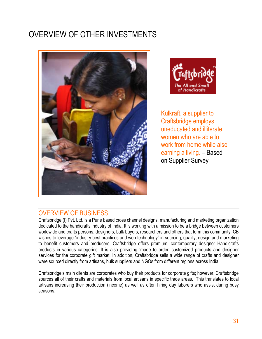# OVERVIEW OF OTHER INVESTMENTS





Kulkraft, a supplier to Craftsbridge employs uneducated and illiterate women who are able to work from home while also earning a living. – Based on Supplier Survey

#### OVERVIEW OF BUSINESS

Craftsbridge (I) Pvt. Ltd. is a Pune based cross channel designs, manufacturing and marketing organization dedicated to the handicrafts industry of India. It is working with a mission to be a bridge between customers worldwide and crafts persons, designers, bulk buyers, researchers and others that form this community. CB wishes to leverage "industry best practices and web technology" in sourcing, quality, design and marketing to benefit customers and producers. Craftsbridge offers premium, contemporary designer Handicrafts products in various categories. It is also providing 'made to order' customized products and designer services for the corporate gift market. In addition, Craftsbridge sells a wide range of crafts and designer ware sourced directly from artisans, bulk suppliers and NGOs from different regions across India.

Craftsbridge's main clients are corporates who buy their products for corporate gifts; however, Craftsbridge sources all of their crafts and materials from local artisans in specific trade areas. This translates to local artisans increasing their production (income) as well as often hiring day laborers who assist during busy seasons.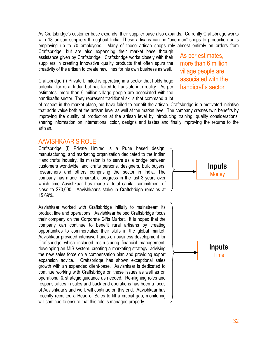As Craftsbridge's customer base expands, their supplier base also expands. Currently Craftsbridge works with 18 artisan suppliers throughout India. These artisans can be "one-man" shops to production units employing up to 70 employees. Many of these artisan shops rely almost entirely on orders from

Craftsbridge, but are also expanding their market base through assistance given by Craftsbridge. Craftsbridge works closely with their suppliers in creating innovative quality products that often spurs the creativity of the artisan to create new lines for his own business as well.

Craftsbridge (I) Private Limited is operating in a sector that holds huge potential for rural India, but has failed to translate into reality. As per estimates, more than 6 million village people are associated with the handicrafts sector. They represent traditional skills that command a lot

As per estimates, more than 6 million village people are associated with the handicrafts sector

of respect in the market place, but have failed to benefit the artisan. Craftsbridge is a motivated initiative that adds value both at the artisan level as well at the market level. The company creates twin benefits by improving the quality of production at the artisan level by introducing training, quality considerations, sharing information on international color, designs and tastes and finally improving the returns to the artisan.

#### AAVISHKAAR'S ROLE

Craftsbridge (I) Private Limited is a Pune based design, manufacturing, and marketing organization dedicated to the Indian Handicrafts industry. Its mission is to serve as a bridge between customers worldwide, and crafts persons, designers, bulk buyers, researchers and others comprising the sector in India. The company has made remarkable progress in the last 3 years over which time Aavishkaar has made a total capital commitment of close to \$70,000. Aavishkaar's stake in Craftsbridge remains at 15.69%.

Aavishkaar worked with Craftsbridge initially to mainstream its product line and operations. Aavishkaar helped Craftsbridge focus their company on the Corporate Gifts Market. It is hoped that the company can continue to benefit rural artisans by creating opportunities to commercialize their skills in the global market. Aavishkaar provided intensive hands-on business development for Craftsbridge which included restructuring financial management, developing an MIS system, creating a marketing strategy, advising the new sales force on a compensation plan and providing export expansion advice. Craftsbridge has shown exceptional sales growth with an expanded client-base. Aavishkaar is dedicated to continue working with Craftsbridge on these issues as well as on operational & strategic guidance as needed. Re-aligning roles and responsibilities in sales and back end operations has been a focus of Aavishkaar's and work will continue on this end. Aavishkaar has recently recruited a Head of Sales to fill a crucial gap; monitoring will continue to ensure that this role is managed properly.

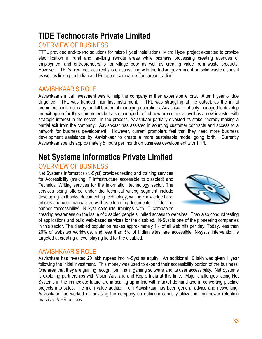## TIDE Technocrats Private Limited

#### OVERVIEW OF BUSINESS

TTPL provided end-to-end solutions for micro Hydel installations. Micro Hydel project expected to provide electrification in rural and far-flung remote areas while biomass processing creating avenues of employment and entrepreneurship for village poor as well as creating value from waste products. However, TTPL's new focus currently is on consulting with the Indian government on solid waste disposal as well as linking up Indian and European companies for carbon trading.

#### AAVISHKAAR'S ROLE

Aavishkaar's initial investment was to help the company in their expansion efforts. After 1 year of due diligence, TTPL was handed their first installment. TTPL was struggling at the outset, as the initial promoters could not carry the full burden of managing operations. Aavishkaar not only managed to develop an exit option for these promoters but also managed to find new promoters as well as a new investor with strategic interest in the sector. In the process, Aavishkaar partially divested its stake, thereby making a partial exit from the company. Aavishkaar has assisted in sourcing customer contracts and access to a network for business development. However, current promoters feel that they need more business development assistance by Aavishkaar to create a more sustainable model going forth. Currently Aavishkaar spends approximately 5 hours per month on business development with TTPL.

## Net Systems Informatics Private Limited

#### OVERVIEW OF BUSINESS

Net Systems Informatics (N-Syst) provides testing and training services for Accessibility (making IT infrastructure accessible to disabled) and Technical Writing services for the information technology sector. The services being offered under the technical writing segment include developing textbooks, documenting technology, writing knowledge base articles and user manuals as well as e-learning documents. Under the banner "accessibility", N-Syst conducts trainings with IT companies



creating awareness on the issue of disabled people's limited access to websites. They also conduct testing of applications and build web-based services for the disabled. N-Syst is one of the pioneering companies in this sector. The disabled population makes approximately 1% of all web hits per day. Today, less than 20% of websites worldwide, and less than 5% of Indian sites, are accessible. N-syst's intervention is targeted at creating a level playing field for the disabled.

#### AAVISHKAAR'S ROLE

Aavishkaar has invested 20 lakh rupees into N-Syst as equity. An additional 10 lakh was given 1 year following the initial investment. This money was used to expand their accessibility portion of the business. One area that they are gaining recognition in is in gaming software and its user accessibility. Net Systems is exploring partnerships with Vision Australia and Repro India at this time. Major challenges facing Net Systems in the immediate future are in scaling up in line with market demand and in converting pipeline projects into sales. The main value addition from Aavishkaar has been general advice and networking. Aavishkaar has worked on advising the company on optimum capacity utilization, manpower retention practices & HR policies.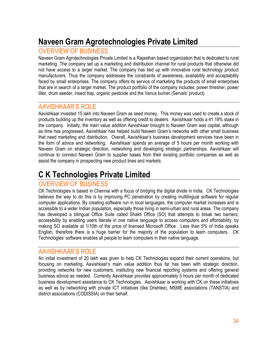# Naveen Gram Agrotechnologies Private Limited

#### OVERVIEW OF BUSINESS

Naveen Gram Agrotechnologies Private Limited is a Rajasthan based organization that is dedicated to rural marketing. The company set up a marketing and distribution channel for rural products that otherwise did not have access to a larger market. The company has tied up with innovative rural technology product manufacturers. Thus the company addresses the constraints of awareness, availability and acceptability faced by small enterprises. The company offers its service of marketing the products of small enterprises that are in search of a larger market. The product portfolio of the company includes: power thresher, power tiller, drum seeder, insect trap, organic pesticide and the Venus burner (Servals' product).

#### AAVISHKAAR'S ROLE

Aavishkaar invested 15 lakh into Naveen Gram as seed money. This money was used to create a stock of products building up the inventory as well as offering credit to dealers. Aavishkaar holds a 41.19% stake in the company. Initially, the main value addition Aavishkaar brought to Naveen Gram was capital, although as time has progressed, Aavishkaar has helped build Naveen Gram's networks with other small business that need marketing and distribution. Overall, Aavishkaar's business development services have been in the form of advice and networking. Aavishkaar spends an average of 5 hours per month working with Naveen Gram on strategic direction, networking and developing strategic partnerships. Aavishkaar will continue to connect Naveen Gram to supplier bases from their existing portfolio companies as well as assist the company in prospecting new product lines and markets.

## C K Technologies Private Limited

#### OVERVIEW OF BUSINESS

CK Technologies is based in Chennai with a focus of bridging the digital divide in India. CK Technologies believes the way to do this is by improving PC penetration by creating multilingual software for regular computer applications. By creating software run in local languages, the computer market increases and is accessible to a wider Indian population, especially those living in semi-urban and rural areas. The company has developed a bilingual Office Suite called Shakti Office (SO) that attempts to break two barriers; accessibility by enabling users literate in one native language to access computers and affordability, by making SO available at 1/10th of the price of licensed Microsoft Office. Less than 5% of India speaks English, therefore there is a huge barrier for the majority of the population to learn computers. CK Technologies' software enables all people to learn computers in their native language.

#### AAVISHKAAR'S ROLE

An initial investment of 20 lakh was given to help CK Technologies expand their current operations, but focusing on marketing. Aavishkaar's main value addition thus far has been with strategic direction, providing networks for new customers, instituting new financial reporting systems and offering general business advice as needed. Currently Aavishkaar provides approximately 5 hours per month of dedicated business development assistance to CK Technologies. Aavishkaar is working with CK on these initiatives as well as by networking with private ICT initiatives (like Drishtee), MSME associations (TANSTIA) and district associations (CODISSIA) on their behalf.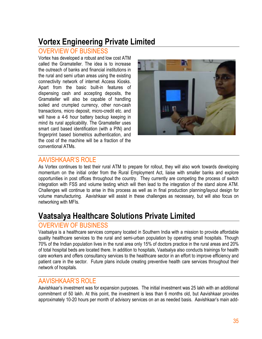## Vortex Engineering Private Limited

#### OVERVIEW OF BUSINESS

Vortex has developed a robust and low cost ATM called the Gramateller. The idea is to increase the outreach of banks and financial institutions in the rural and semi urban areas using the existing connectivity network of internet Access Kiosks. Apart from the basic built-in features of dispensing cash and accepting deposits, the Gramateller will also be capable of handling soiled and crumpled currency, other non-cash transactions, micro deposit, micro-credit etc. and will have a 4-6 hour battery backup keeping in mind its rural applicability. The Gramateller uses smart card based identification (with a PIN) and fingerprint based biometrics authentication, and the cost of the machine will be a fraction of the conventional ATMs.



#### AAVISHKAAR'S ROLE

As Vortex continues to test their rural ATM to prepare for rollout, they will also work towards developing momentum on the initial order from the Rural Employment Act, liaise with smaller banks and explore opportunities in post offices throughout the country. They currently are competing the process of switch integration with FSS and volume testing which will then lead to the integration of the stand alone ATM. Challenges will continue to arise in this process as well as in final production planning/layout design for volume manufacturing. Aavishkaar will assist in these challenges as necessary, but will also focus on networking with MFIs.

## Vaatsalya Healthcare Solutions Private Limited

#### OVERVIEW OF BUSINESS

Vaatsalya is a healthcare services company located in Southern India with a mission to provide affordable quality healthcare services to the rural and semi-urban population by operating small hospitals. Though 70% of the Indian population lives in the rural area only 15% of doctors practice in the rural areas and 20% of total hospital beds are located there. In addition to hospitals, Vaatsalya also conducts trainings for health care workers and offers consultancy services to the healthcare sector in an effort to improve efficiency and patient care in the sector. Future plans include creating preventive health care services throughout their network of hospitals.

#### AAVISHKAAR'S ROLE

Aavishkaar's investment was for expansion purposes. The initial investment was 25 lakh with an additional commitment of 50 lakh. At this point, the investment is less than 6 months old, but Aavishkaar provides approximately 10-20 hours per month of advisory services on an as needed basis. Aavishkaar's main add-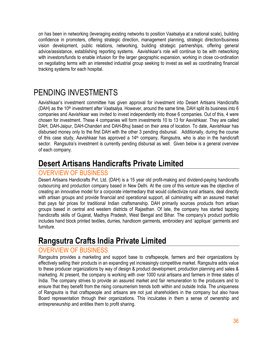on has been in networking (leveraging existing networks to position Vaatsalya at a national scale), building confidence in promoters, offering strategic direction, management planning, strategic direction/business vision development, public relations, networking, building strategic partnerships, offering general advice/assistance, establishing reporting systems. Aavishkaar's role will continue to be with networking with investors/funds to enable infusion for the larger geographic expansion, working in close co-ordination on negotiating terms with an interested industrial group seeking to invest as well as coordinating financial tracking systems for each hospital.

## PENDING INVESTMENTS

Aavishkaar's investment committee has given approval for investment into Desert Artisans Handicrafts (DAH) as the 10<sup>th</sup> investment after Vaatsalya. However, around the same time, DAH split its business into 6 companies and Aavishkaar was invited to invest independently into those 6 companies. Out of this, 4 were chosen for investment. These 4 companies will form investments 10 to 13 for Aavishkaar. They are called DAH, DAH-Jaipur, DAH-Chanderi and DAH-Bhuj based on their area of location. To date, Aavishkaar has disbursed money only to the first DAH with the other 3 pending disbursal. Additionally, during the course of this case study, Aavishkaar has approved a 14<sup>th</sup> company, Rangsutra, who is also in the handicraft sector. Rangsutra's investment is currently pending disbursal as well. Given below is a general overview of each company.

### Desert Artisans Handicrafts Private Limited

#### OVERVIEW OF BUSINESS

Desert Artisans Handicrafts Pvt. Ltd. (DAH) is a 15 year old profit-making and dividend-paying handicrafts outsourcing and production company based in New Delhi. At the core of this venture was the objective of creating an innovative model for a corporate intermediary that would collectivize rural artisans, deal directly with artisan groups and provide financial and operational support, all culminating with an assured market that pays fair prices for traditional Indian craftsmanship. DAH primarily sources products from artisan groups based in central and western districts of Rajasthan. Of late, the company has started tapping handicrafts skills of Gujarat, Madhya Pradesh, West Bengal and Bihar. The company's product portfolio includes hand block printed textiles, durries, handloom garments, embroidery and 'applique' garments and furniture.

### Rangsutra Crafts India Private Limited

#### OVERVIEW OF BUSINESS

Rangsutra provides a marketing and support base to craftspeople, farmers and their organizations by effectively selling their products in an expanding yet increasingly competitive market. Rangsutra adds value to these producer organizations by way of design & product development, production planning and sales & marketing. At present, the company is working with over 1000 rural artisans and farmers in three states of India. The company strives to provide an assured market and fair remuneration to the producers and to ensure that they benefit from the rising consumerism trends both within and outside India. The uniqueness of Rangsutra is that craftspeople and artisans are not just shareholders in the company but also have Board representation through their organizations. This inculcates in them a sense of ownership and entrepreneurship and entitles them to profit sharing.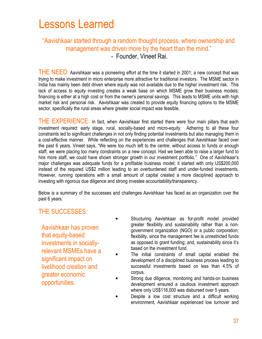# Lessons Learned

#### "Aavishkaar started through a random thought process, where ownership and management was driven more by the heart than the mind." - Founder, Vineet Rai.

THE NEED: Aavishkaar was a pioneering effort at the time it started in 2001; a new concept that was trying to make investment in micro enterprise more attractive for traditional investors. The MSME sector in India has mainly been debt driven where equity was not available due to the higher investment risk. This lack of access to equity investing creates a weak base on which MSME grow their business models; financing is either at a high cost or from the owner's personal savings. This leads to MSME units with high market risk and personal risk. Aavishkaar was created to provide equity financing options to the MSME sector, specifically the rural areas where greater social impact was feasible.

THE EXPERIENCE: In fact, when Aavishkaar first started there were four main pillars that each investment required: early stage, rural, socially-based and micro-equity. Adhering to all these four constraints led to significant challenges in not only finding potential investments but also managing them in a cost-effective manner. While reflecting on the experiences and challenges that Aavishkaar faced over the past 6 years, Vineet says, "We were too much left to the centre; without access to funds or enough staff, we were placing too many constraints on a new concept. Had we been able to raise a larger fund to hire more staff, we could have shown stronger growth in our investment portfolio." One of Aavishkaar's major challenges was adequate funds for a profitable business model; it started with only US\$200,000 instead of the required US\$2 million leading to an overburdened staff and under-funded investments. However, running operations with a small amount of capital created a more disciplined approach to investing with rigorous due diligence and strong investee accountability/transparency.

Below is a summary of the successes and challenges Aavishkaar has faced as an organization over the past 6 years:

#### THE SUCCESSES:

Aavishkaar has proven that equity-based investments in sociallyrelevant MSMEs have a significant impact on livelihood creation and greater economic opportunities.

- Structuring Aavishkaar as for-profit model provided greater flexibility and sustainability rather than a nongovernment organization (NGO) or a public corporation; flexibility, since the management fee is unrestricted funds as opposed to grant funding; and, sustainability since it's based on the investment fund.
- The initial constraints of small capital enabled the development of a disciplined business process leading to successful investments based on less than 4.5% of corpus.
- Strong due diligence, monitoring and hands-on business development ensured a cautious investment approach where only US\$118,000 was disbursed over 5 years.
- Despite a low cost structure and a difficult working environment, Aavishkaar experienced low turnover and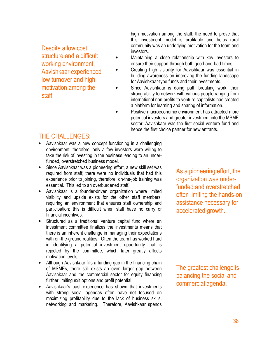Despite a low cost structure and a difficult working environment, Aavishkaar experienced low turnover and high motivation among the staff.

high motivation among the staff; the need to prove that this investment model is profitable and helps rural community was an underlying motivation for the team and investors.

- Maintaining a close relationship with key investors to ensure their support through both good-and-bad times.
- Creating high visibility for Aavishkaar was essential in building awareness on improving the funding landscape for Aavishkaar-type funds and their investments.
- Since Aavishkaar is doing path breaking work, their strong ability to network with various people ranging from international non profits to venture capitalists has created a platform for learning and sharing of information.
- Positive macroeconomic environment has attracted more potential investors and greater investment into the MSME sector; Aavishkaar was the first social venture fund and hence the first choice partner for new entrants.

#### THE CHALLENGES:

- Aavishkaar was a new concept functioning in a challenging environment, therefore, only a few investors were willing to take the risk of investing in the business leading to an underfunded, overstretched business model.
- Since Aavishkaar was a pioneering effort, a new skill set was required from staff; there were no individuals that had this experience prior to joining, therefore, on-the-job training was essential. This led to an overburdened staff.
- Aavishkaar is a founder-driven organization where limited visibility and upside exists for the other staff members; requiring an environment that ensures staff ownership and participation; this is difficult when staff have no carry or financial incentives.
- Structured as a traditional venture capital fund where an investment committee finalizes the investments means that there is an inherent challenge in managing their expectations with on-the-ground realities. Often the team has worked hard in identifying a potential investment opportunity that is rejected by the committee, which later greatly affects motivation levels.
- Although Aavishkaar fills a funding gap in the financing chain of MSMEs, there still exists an even larger gap between Aavishkaar and the commercial sector for equity financing further limiting exit options and profit potential.
- Aavishkaar's past experience has shown that investments with strong social agendas often have not focused on maximizing profitability due to the lack of business skills, networking and marketing. Therefore, Aavishkaar spends

As a pioneering effort, the organization was underfunded and overstretched often limiting the hands-on assistance necessary for accelerated growth.

The greatest challenge is balancing the social and commercial agenda.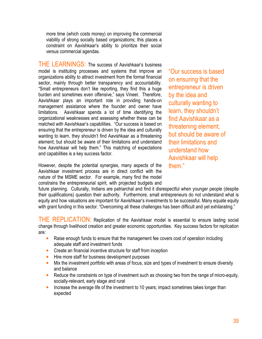more time (which costs money) on improving the commercial viability of strong socially based organizations; this places a constraint on Aavishkaar's ability to prioritize their social versus commercial agendas.

THE LEARNINGS: The success of Aavishkaar's business model is instituting processes and systems that improve an organizations ability to attract investment from the formal financial sector, mainly through better transparency and accountability. "Small entrepreneurs don't like reporting, they find this a huge burden and sometimes even offensive," says Vineet. Therefore, Aavishkaar plays an important role in providing hands-on management assistance where the founder and owner have limitations. Aavishkaar spends a lot of time identifying the organizational weaknesses and assessing whether these can be matched with Aavishkaar's capabilities. "Our success is based on ensuring that the entrepreneur is driven by the idea and culturally wanting to learn, they shouldn't find Aavishkaar as a threatening element; but should be aware of their limitations and understand how Aavishkaar will help them." This matching of expectations and capabilities is a key success factor.

However, despite the potential synergies, many aspects of the Aavishkaar investment process are in direct conflict with the nature of the MSME sector. For example, many find the model constrains the entrepreneurial spirit, with projected budgets and

"Our success is based on ensuring that the entrepreneur is driven by the idea and culturally wanting to learn, they shouldn't find Aavishkaar as a threatening element; but should be aware of their limitations and understand how Aavishkaar will help them."

future planning. Culturally, Indians are patriarchal and find it disrespectful when younger people (despite their qualifications) question their authority. Furthermore, small entrepreneurs do not understand what is equity and how valuations are important for Aavishkaar's investments to be successful. Many equate equity with grant funding in this sector. "Overcoming all these challenges has been difficult and yet exhilarating."

THE REPLICATION: Replication of the Aavishkaar model is essential to ensure lasting social change through livelihood creation and greater economic opportunities. Key success factors for replication are:

- Raise enough funds to ensure that the management fee covers cost of operation including adequate staff and investment funds
- Create an financial incentive structure for staff from inception
- Hire more staff for business development purposes
- Mix the investment portfolio with areas of focus, size and types of investment to ensure diversity and balance
- Reduce the constraints on type of investment such as choosing two from the range of micro-equity, socially-relevant, early stage and rural
- Increase the average life of the investment to 10 years; impact sometimes takes longer than expected